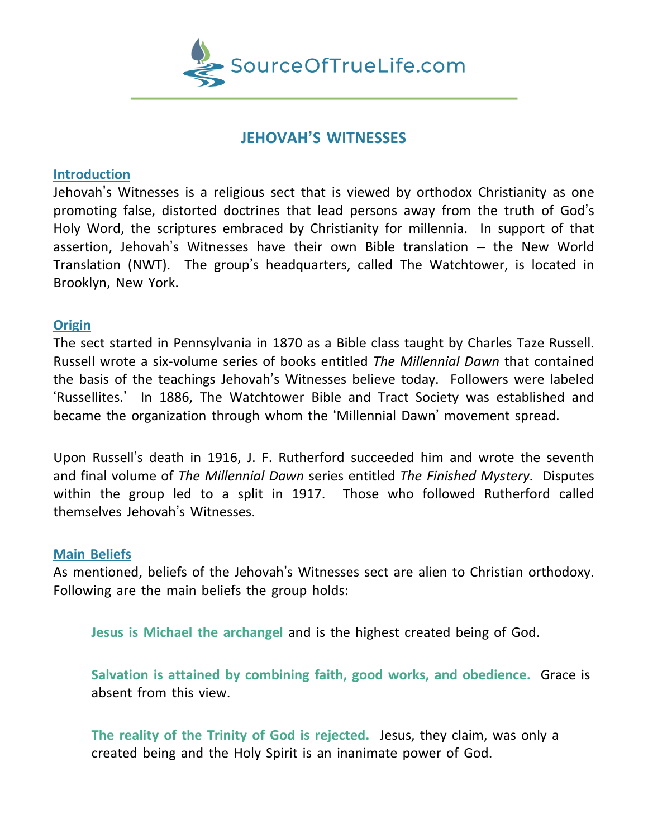

# **JEHOVAH'S WITNESSES**

### **Introduction**

Jehovah's Witnesses is a religious sect that is viewed by orthodox Christianity as one promoting false, distorted doctrines that lead persons away from the truth of God's Holy Word, the scriptures embraced by Christianity for millennia. In support of that assertion, Jehovah's Witnesses have their own Bible translation – the New World Translation (NWT). The group's headquarters, called The Watchtower, is located in Brooklyn, New York.

## **Origin**

The sect started in Pennsylvania in 1870 as a Bible class taught by Charles Taze Russell. Russell wrote a six-volume series of books entitled *The Millennial Dawn* that contained the basis of the teachings Jehovah's Witnesses believe today. Followers were labeled 'Russellites.' In 1886, The Watchtower Bible and Tract Society was established and became the organization through whom the 'Millennial Dawn' movement spread.

Upon Russell's death in 1916, J. F. Rutherford succeeded him and wrote the seventh and final volume of *The Millennial Dawn* series entitled *The Finished Mystery*. Disputes within the group led to a split in 1917. Those who followed Rutherford called themselves Jehovah's Witnesses.

## **Main Beliefs**

As mentioned, beliefs of the Jehovah's Witnesses sect are alien to Christian orthodoxy. Following are the main beliefs the group holds:

**Jesus is Michael the archangel** and is the highest created being of God.

**Salvation is attained by combining faith, good works, and obedience.** Grace is absent from this view.

**The reality of the Trinity of God is rejected.** Jesus, they claim, was only a created being and the Holy Spirit is an inanimate power of God.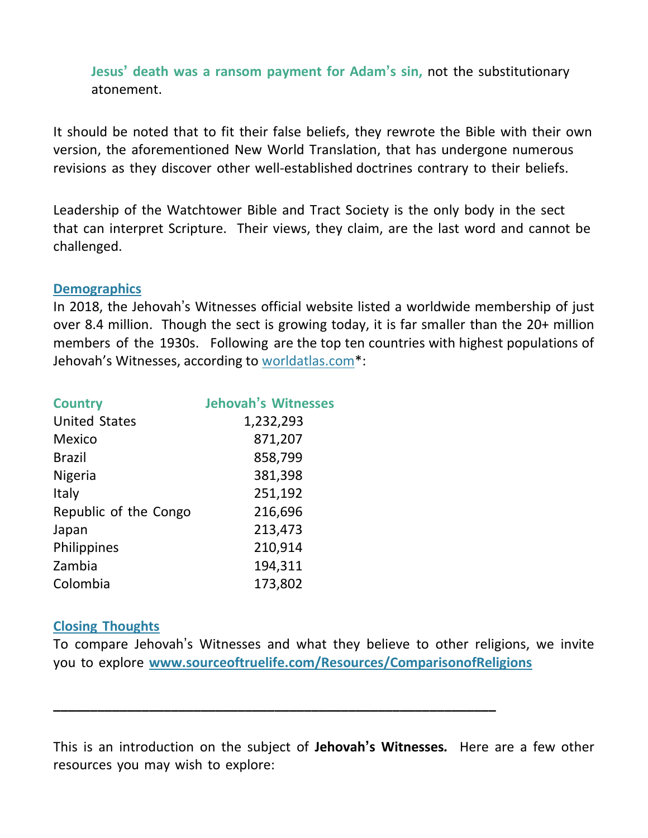**Jesus' death was a ransom payment for Adam's sin,** not the substitutionary atonement.

It should be noted that to fit their false beliefs, they rewrote the Bible with their own version, the aforementioned New World Translation, that has undergone numerous revisions as they discover other well-established doctrines contrary to their beliefs.

Leadership of the Watchtower Bible and Tract Society is the only body in the sect that can interpret Scripture. Their views, they claim, are the last word and cannot be challenged.

### **Demographics**

In 2018, the Jehovah's Witnesses official website listed a worldwide membership of just over 8.4 million. Though the sect is growing today, it is far smaller than the 20+ million members of the 1930s. Following are the top ten countries with highest populations of Jehovah's Witnesses, according to worldatlas.com\*:

| <b>Country</b>        | <b>Jehovah's Witnesses</b> |
|-----------------------|----------------------------|
| <b>United States</b>  | 1,232,293                  |
| Mexico                | 871,207                    |
| <b>Brazil</b>         | 858,799                    |
| <b>Nigeria</b>        | 381,398                    |
| Italy                 | 251,192                    |
| Republic of the Congo | 216,696                    |
| Japan                 | 213,473                    |
| Philippines           | 210,914                    |
| Zambia                | 194,311                    |
| Colombia              | 173,802                    |

### **Closing Thoughts**

To compare Jehovah's Witnesses and what they believe to other religions, we invite you to explore **[www.sourceoftruelife.com/Resources/ComparisonofReligions](http://www.sourceoftruelife.com/Resources/ComparisonofReligions)**

**\_\_\_\_\_\_\_\_\_\_\_\_\_\_\_\_\_\_\_\_\_\_\_\_\_\_\_\_\_\_\_\_\_\_\_\_\_\_\_\_\_\_\_\_\_\_\_\_\_\_\_\_\_\_\_\_\_\_\_\_**

This is an introduction on the subject of **Jehovah's Witnesses***.* Here are a few other resources you may wish to explore: